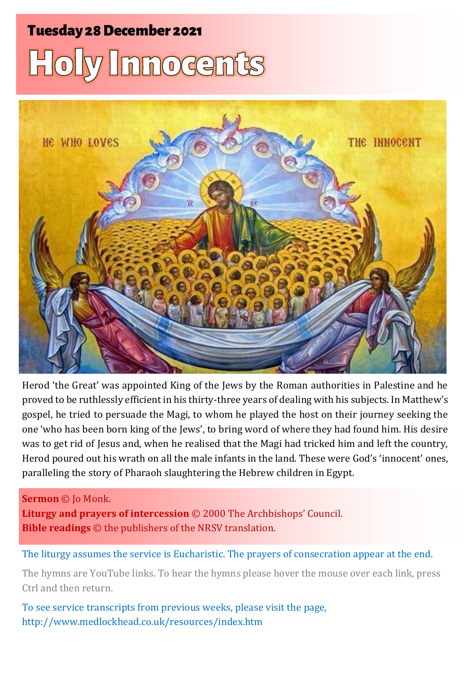# **Tuesday 28 December 2021** Holy Innocents



Herod 'the Great' was appointed King of the Jews by the Roman authorities in Palestine and he proved to be ruthlessly efficient in his thirty-three years of dealing with his subjects. In Matthew's gospel, he tried to persuade the Magi, to whom he played the host on their journey seeking the one 'who has been born king of the Jews', to bring word of where they had found him. His desire was to get rid of Jesus and, when he realised that the Magi had tricked him and left the country, Herod poured out his wrath on all the male infants in the land. These were God's 'innocent' ones, paralleling the story of Pharaoh slaughtering the Hebrew children in Egypt.

#### **Sermon** © Jo Monk.

**Liturgy and prayers of intercession** © 2000 The Archbishops' Council. **Bible readings** © the publishers of the NRSV translation.

The liturgy assumes the service is Eucharistic. The prayers of consecration appear at the end.

The hymns are YouTube links. To hear the hymns please hover the mouse over each link, press Ctrl and then return.

To see service transcripts from previous weeks, please visit the page, <http://www.medlockhead.co.uk/resources/index.htm>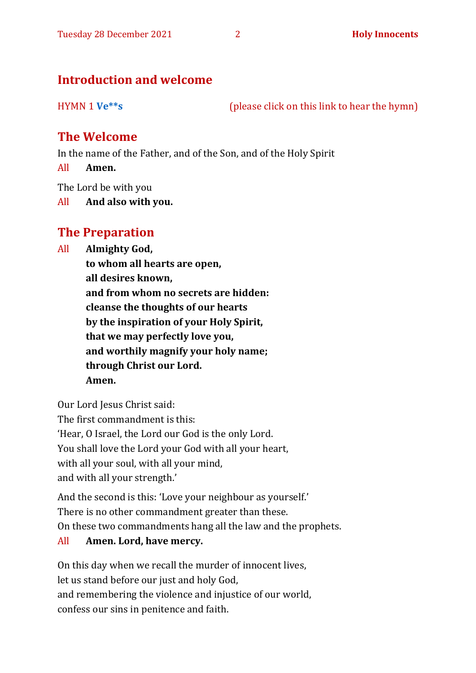#### **Introduction and welcome**

HYMN 1 **[Ve\\*\\*s](https://www.youtube.com/watch?v=WmxXwAgkhWQ)** (please click on this link to hear the hymn)

#### **The Welcome**

In the name of the Father, and of the Son, and of the Holy Spirit

All **Amen.**

The Lord be with you

All **And also with you.**

#### **The Preparation**

- All **Almighty God,**
	- **to whom all hearts are open, all desires known, and from whom no secrets are hidden: cleanse the thoughts of our hearts by the inspiration of your Holy Spirit, that we may perfectly love you, and worthily magnify your holy name; through Christ our Lord. Amen.**

Our Lord Jesus Christ said: The first commandment is this: 'Hear, O Israel, the Lord our God is the only Lord. You shall love the Lord your God with all your heart, with all your soul, with all your mind, and with all your strength.'

And the second is this: 'Love your neighbour as yourself.' There is no other commandment greater than these. On these two commandments hang all the law and the prophets.

#### All **Amen. Lord, have mercy.**

On this day when we recall the murder of innocent lives, let us stand before our just and holy God, and remembering the violence and injustice of our world, confess our sins in penitence and faith.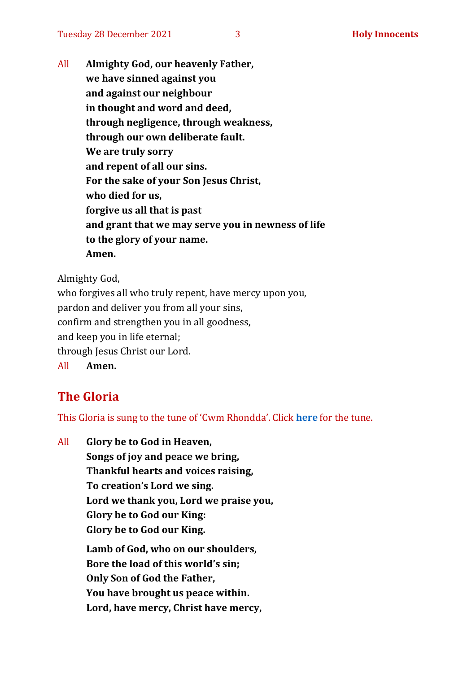All **Almighty God, our heavenly Father, we have sinned against you and against our neighbour in thought and word and deed, through negligence, through weakness, through our own deliberate fault. We are truly sorry and repent of all our sins. For the sake of your Son Jesus Christ, who died for us, forgive us all that is past and grant that we may serve you in newness of life to the glory of your name. Amen.**

Almighty God,

who forgives all who truly repent, have mercy upon you, pardon and deliver you from all your sins, confirm and strengthen you in all goodness, and keep you in life eternal; through Jesus Christ our Lord. All **Amen.**

### **The Gloria**

This Gloria is sung to the tune of 'Cwm Rhondda'. Click **[here](about:blank)** for the tune.

All **Glory be to God in Heaven, Songs of joy and peace we bring, Thankful hearts and voices raising, To creation's Lord we sing. Lord we thank you, Lord we praise you, Glory be to God our King: Glory be to God our King. Lamb of God, who on our shoulders, Bore the load of this world's sin; Only Son of God the Father, You have brought us peace within. Lord, have mercy, Christ have mercy,**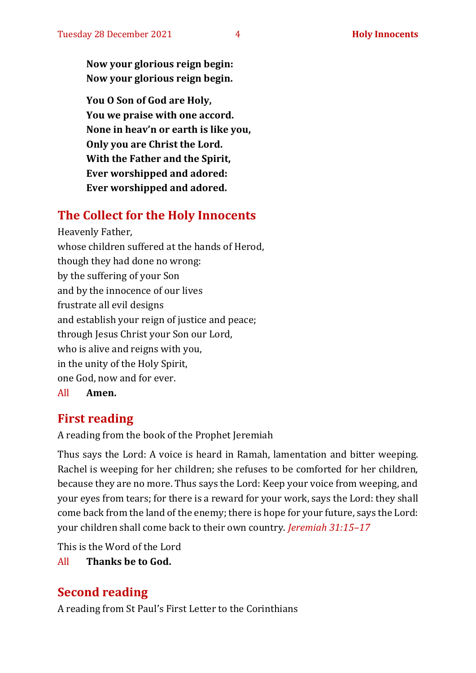**Now your glorious reign begin: Now your glorious reign begin.**

**You O Son of God are Holy, You we praise with one accord. None in heav'n or earth is like you, Only you are Christ the Lord. With the Father and the Spirit, Ever worshipped and adored: Ever worshipped and adored.**

#### **The Collect for the Holy Innocents**

Heavenly Father, whose children suffered at the hands of Herod, though they had done no wrong: by the suffering of your Son and by the innocence of our lives frustrate all evil designs and establish your reign of justice and peace; through Jesus Christ your Son our Lord, who is alive and reigns with you, in the unity of the Holy Spirit, one God, now and for ever. All **Amen.**

#### **First reading**

A reading from the book of the Prophet Jeremiah

Thus says the Lord: A voice is heard in Ramah, lamentation and bitter weeping. Rachel is weeping for her children; she refuses to be comforted for her children, because they are no more. Thus says the Lord: Keep your voice from weeping, and your eyes from tears; for there is a reward for your work, says the Lord: they shall come back from the land of the enemy; there is hope for your future, says the Lord: your children shall come back to their own country. *Jeremiah 31:15–17*

This is the Word of the Lord

All **Thanks be to God.**

#### **Second reading**

A reading from St Paul's First Letter to the Corinthians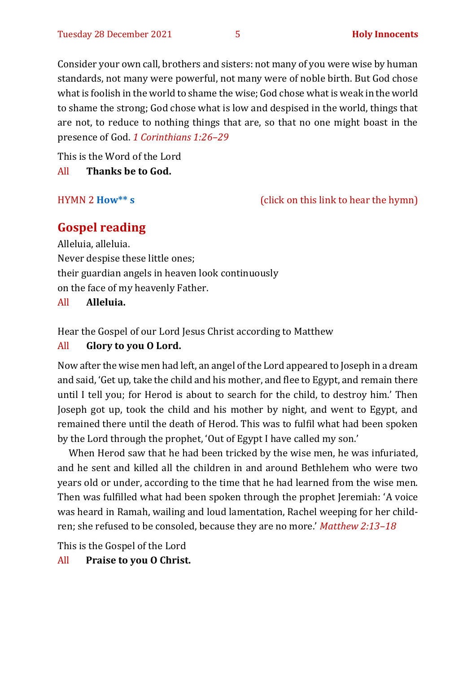Consider your own call, brothers and sisters: not many of you were wise by human standards, not many were powerful, not many were of noble birth. But God chose what is foolish in the world to shame the wise; God chose what is weak in the world to shame the strong; God chose what is low and despised in the world, things that are not, to reduce to nothing things that are, so that no one might boast in the presence of God. *1 Corinthians 1:26–29*

This is the Word of the Lord

All **Thanks be to God.**

HYMN 2 **[How\\*\\* s](https://www.youtube.com/watch?v=e9FG12eTSbI)** (click on this link to hear the hymn)

#### **Gospel reading**

Alleluia, alleluia. Never despise these little ones; their guardian angels in heaven look continuously on the face of my heavenly Father.

All **Alleluia.**

Hear the Gospel of our Lord Jesus Christ according to Matthew

#### All **Glory to you O Lord.**

Now after the wise men had left, an angel of the Lord appeared to Joseph in a dream and said, 'Get up, take the child and his mother, and flee to Egypt, and remain there until I tell you; for Herod is about to search for the child, to destroy him.' Then Joseph got up, took the child and his mother by night, and went to Egypt, and remained there until the death of Herod. This was to fulfil what had been spoken by the Lord through the prophet, 'Out of Egypt I have called my son.'

When Herod saw that he had been tricked by the wise men, he was infuriated, and he sent and killed all the children in and around Bethlehem who were two years old or under, according to the time that he had learned from the wise men. Then was fulfilled what had been spoken through the prophet Jeremiah: 'A voice was heard in Ramah, wailing and loud lamentation, Rachel weeping for her children; she refused to be consoled, because they are no more.' *Matthew 2:13–18*

This is the Gospel of the Lord

All **Praise to you O Christ.**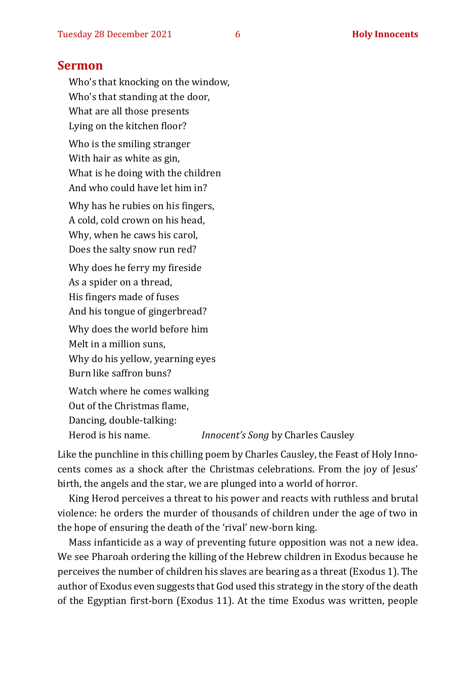#### **Sermon**

Who's that knocking on the window, Who's that standing at the door, What are all those presents Lying on the kitchen floor? Who is the smiling stranger With hair as white as gin, What is he doing with the children And who could have let him in? Why has he rubies on his fingers, A cold, cold crown on his head, Why, when he caws his carol, Does the salty snow run red? Why does he ferry my fireside As a spider on a thread, His fingers made of fuses And his tongue of gingerbread? Why does the world before him Melt in a million suns, Why do his yellow, yearning eyes Burn like saffron buns? Watch where he comes walking Out of the Christmas flame, Dancing, double-talking:

Herod is his name. *Innocent's Song* by Charles Causley

Like the punchline in this chilling poem by Charles Causley, the Feast of Holy Innocents comes as a shock after the Christmas celebrations. From the joy of Jesus' birth, the angels and the star, we are plunged into a world of horror.

King Herod perceives a threat to his power and reacts with ruthless and brutal violence: he orders the murder of thousands of children under the age of two in the hope of ensuring the death of the 'rival' new-born king.

Mass infanticide as a way of preventing future opposition was not a new idea. We see Pharoah ordering the killing of the Hebrew children in Exodus because he perceives the number of children his slaves are bearing as a threat (Exodus 1). The author of Exodus even suggests that God used this strategy in the story of the death of the Egyptian first-born (Exodus 11). At the time Exodus was written, people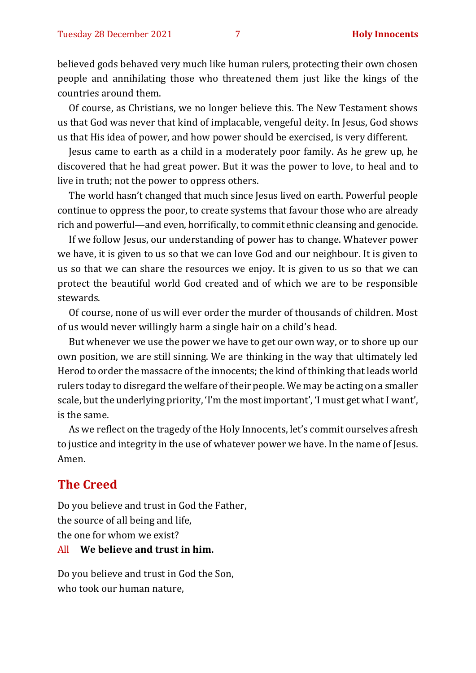believed gods behaved very much like human rulers, protecting their own chosen people and annihilating those who threatened them just like the kings of the countries around them.

Of course, as Christians, we no longer believe this. The New Testament shows us that God was never that kind of implacable, vengeful deity. In Jesus, God shows us that His idea of power, and how power should be exercised, is very different.

Jesus came to earth as a child in a moderately poor family. As he grew up, he discovered that he had great power. But it was the power to love, to heal and to live in truth; not the power to oppress others.

The world hasn't changed that much since Jesus lived on earth. Powerful people continue to oppress the poor, to create systems that favour those who are already rich and powerful—and even, horrifically, to commit ethnic cleansing and genocide.

If we follow Jesus, our understanding of power has to change. Whatever power we have, it is given to us so that we can love God and our neighbour. It is given to us so that we can share the resources we enjoy. It is given to us so that we can protect the beautiful world God created and of which we are to be responsible stewards.

Of course, none of us will ever order the murder of thousands of children. Most of us would never willingly harm a single hair on a child's head.

But whenever we use the power we have to get our own way, or to shore up our own position, we are still sinning. We are thinking in the way that ultimately led Herod to order the massacre of the innocents; the kind of thinking that leads world rulers today to disregard the welfare of their people. We may be acting on a smaller scale, but the underlying priority, 'I'm the most important', 'I must get what I want', is the same.

As we reflect on the tragedy of the Holy Innocents, let's commit ourselves afresh to justice and integrity in the use of whatever power we have. In the name of Jesus. Amen.

#### **The Creed**

Do you believe and trust in God the Father, the source of all being and life, the one for whom we exist? All **We believe and trust in him.**

Do you believe and trust in God the Son, who took our human nature,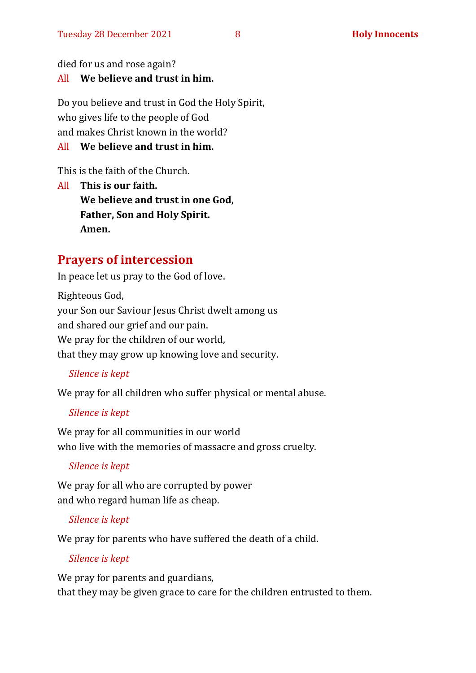died for us and rose again?

#### All **We believe and trust in him.**

Do you believe and trust in God the Holy Spirit, who gives life to the people of God and makes Christ known in the world?

#### All **We believe and trust in him.**

This is the faith of the Church.

All **This is our faith. We believe and trust in one God, Father, Son and Holy Spirit. Amen.**

#### **Prayers of intercession**

In peace let us pray to the God of love.

Righteous God, your Son our Saviour Jesus Christ dwelt among us and shared our grief and our pain. We pray for the children of our world, that they may grow up knowing love and security.

#### *Silence is kept*

We pray for all children who suffer physical or mental abuse.

#### *Silence is kept*

We pray for all communities in our world who live with the memories of massacre and gross cruelty.

#### *Silence is kept*

We pray for all who are corrupted by power and who regard human life as cheap.

#### *Silence is kept*

We pray for parents who have suffered the death of a child.

#### *Silence is kept*

We pray for parents and guardians, that they may be given grace to care for the children entrusted to them.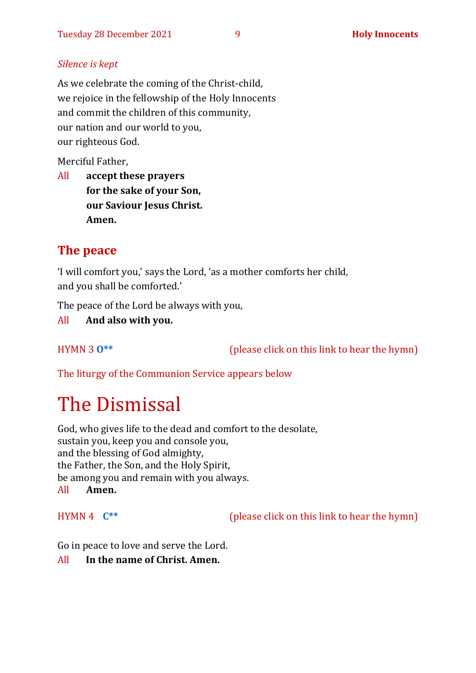#### *Silence is kept*

As we celebrate the coming of the Christ-child, we rejoice in the fellowship of the Holy Innocents and commit the children of this community, our nation and our world to you, our righteous God.

Merciful Father,

All **accept these prayers for the sake of your Son, our Saviour Jesus Christ. Amen.**

#### **The peace**

'I will comfort you,' says the Lord, 'as a mother comforts her child, and you shall be comforted.'

The peace of the Lord be always with you,

All **And also with you.**

HYMN 3 **[O\\*\\*](https://www.youtube.com/watch?v=hv72Q23lIp0)** (please click on this link to hear the hymn)

The liturgy of the Communion Service appears below

## The Dismissal

God, who gives life to the dead and comfort to the desolate, sustain you, keep you and console you, and the blessing of God almighty, the Father, the Son, and the Holy Spirit, be among you and remain with you always. All **Amen.**

HYMN 4 **[C\\*\\*](https://www.youtube.com/watch?v=fIvKDgktutI)** (please click on this link to hear the hymn)

Go in peace to love and serve the Lord.

All **In the name of Christ. Amen.**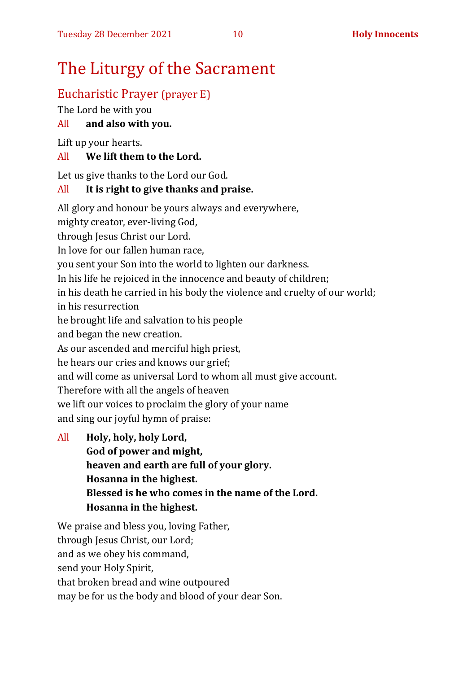## The Liturgy of the Sacrament

#### Eucharistic Prayer (prayer E)

The Lord be with you

#### All **and also with you.**

Lift up your hearts.

#### All **We lift them to the Lord.**

Let us give thanks to the Lord our God.

#### All **It is right to give thanks and praise.**

All glory and honour be yours always and everywhere,

mighty creator, ever-living God,

through Jesus Christ our Lord.

In love for our fallen human race,

you sent your Son into the world to lighten our darkness.

In his life he rejoiced in the innocence and beauty of children;

in his death he carried in his body the violence and cruelty of our world; in his resurrection

he brought life and salvation to his people

and began the new creation.

As our ascended and merciful high priest,

he hears our cries and knows our grief;

and will come as universal Lord to whom all must give account.

Therefore with all the angels of heaven

we lift our voices to proclaim the glory of your name

and sing our joyful hymn of praise:

All **Holy, holy, holy Lord, God of power and might, heaven and earth are full of your glory. Hosanna in the highest. Blessed is he who comes in the name of the Lord. Hosanna in the highest.**

We praise and bless you, loving Father, through Jesus Christ, our Lord; and as we obey his command, send your Holy Spirit, that broken bread and wine outpoured may be for us the body and blood of your dear Son.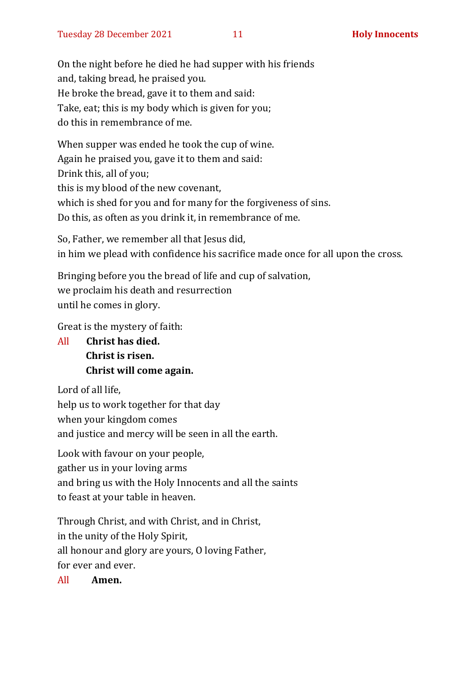On the night before he died he had supper with his friends and, taking bread, he praised you. He broke the bread, gave it to them and said: Take, eat; this is my body which is given for you; do this in remembrance of me.

When supper was ended he took the cup of wine. Again he praised you, gave it to them and said: Drink this, all of you; this is my blood of the new covenant, which is shed for you and for many for the forgiveness of sins. Do this, as often as you drink it, in remembrance of me.

So, Father, we remember all that Jesus did, in him we plead with confidence his sacrifice made once for all upon the cross.

Bringing before you the bread of life and cup of salvation, we proclaim his death and resurrection until he comes in glory.

Great is the mystery of faith:

All **Christ has died. Christ is risen. Christ will come again.**

Lord of all life, help us to work together for that day when your kingdom comes and justice and mercy will be seen in all the earth.

Look with favour on your people, gather us in your loving arms and bring us with the Holy Innocents and all the saints to feast at your table in heaven.

Through Christ, and with Christ, and in Christ, in the unity of the Holy Spirit, all honour and glory are yours, O loving Father, for ever and ever.

All **Amen.**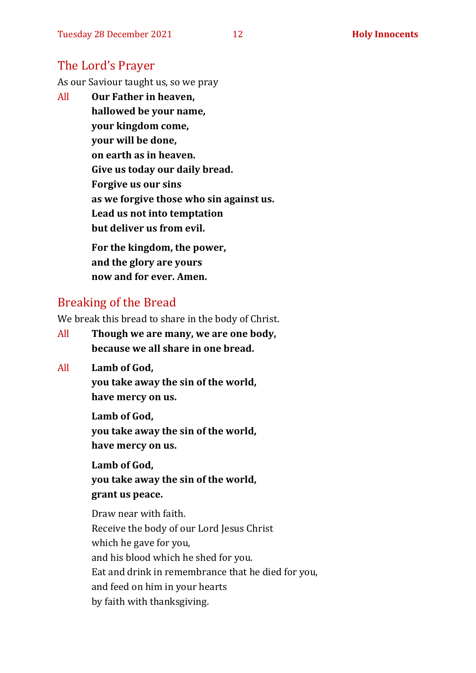#### The Lord's Prayer

As our Saviour taught us, so we pray

All **Our Father in heaven, hallowed be your name, your kingdom come, your will be done, on earth as in heaven. Give us today our daily bread. Forgive us our sins as we forgive those who sin against us. Lead us not into temptation but deliver us from evil. For the kingdom, the power,** 

**and the glory are yours now and for ever. Amen.**

#### Breaking of the Bread

We break this bread to share in the body of Christ.

- All **Though we are many, we are one body, because we all share in one bread.**
- All **Lamb of God,**

**you take away the sin of the world, have mercy on us.**

**Lamb of God, you take away the sin of the world, have mercy on us.**

**Lamb of God, you take away the sin of the world, grant us peace.**

Draw near with faith. Receive the body of our Lord Jesus Christ which he gave for you, and his blood which he shed for you. Eat and drink in remembrance that he died for you, and feed on him in your hearts by faith with thanksgiving.